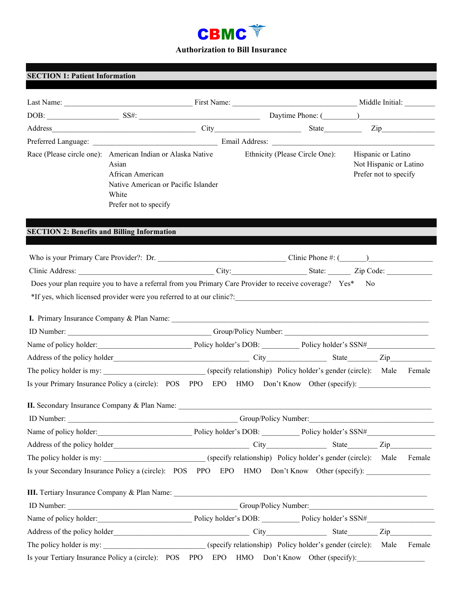

| <b>SECTION 1: Patient Information</b>                                                                                                                                                                                          |                                                                                                    |  |                                |                                                                       |        |
|--------------------------------------------------------------------------------------------------------------------------------------------------------------------------------------------------------------------------------|----------------------------------------------------------------------------------------------------|--|--------------------------------|-----------------------------------------------------------------------|--------|
|                                                                                                                                                                                                                                |                                                                                                    |  |                                |                                                                       |        |
| DOB: SS#: SS#: SS#: Daytime Phone: (Change of Contractor Contractor Contractor Contractor Contractor Contractor Contractor Contractor Contractor Contractor Contractor Contractor Contractor Contractor Contractor Contractor  |                                                                                                    |  |                                |                                                                       |        |
|                                                                                                                                                                                                                                |                                                                                                    |  |                                |                                                                       |        |
|                                                                                                                                                                                                                                |                                                                                                    |  |                                |                                                                       |        |
| Race (Please circle one): American Indian or Alaska Native                                                                                                                                                                     | Asian<br>African American<br>Native American or Pacific Islander<br>White<br>Prefer not to specify |  | Ethnicity (Please Circle One): | Hispanic or Latino<br>Not Hispanic or Latino<br>Prefer not to specify |        |
| <b>SECTION 2: Benefits and Billing Information</b>                                                                                                                                                                             |                                                                                                    |  |                                |                                                                       |        |
|                                                                                                                                                                                                                                |                                                                                                    |  |                                |                                                                       |        |
|                                                                                                                                                                                                                                |                                                                                                    |  |                                |                                                                       |        |
|                                                                                                                                                                                                                                |                                                                                                    |  |                                |                                                                       |        |
| I. Primary Insurance Company & Plan Name: 1986. [19] The Manuscript Company of Plan Name: 1986. [19] The Manuscript Company of Plan Name: 1986. [19] The Manuscript Company of Plan Name: 1986. [19] The Manuscript Company of |                                                                                                    |  |                                |                                                                       |        |
| Name of policy holder:<br>Policy holder's DOB: Policy holder's DOB: Policy holder's SSN#                                                                                                                                       |                                                                                                    |  |                                |                                                                       |        |
|                                                                                                                                                                                                                                |                                                                                                    |  |                                |                                                                       |        |
| The policy holder is my: ___________________________(specify relationship) Policy holder's gender (circle): Male Female                                                                                                        |                                                                                                    |  |                                |                                                                       |        |
| Is your Primary Insurance Policy a (circle): POS PPO EPO HMO Don't Know Other (specify):                                                                                                                                       |                                                                                                    |  |                                |                                                                       |        |
| II. Secondary Insurance Company & Plan Name:                                                                                                                                                                                   |                                                                                                    |  |                                |                                                                       |        |
|                                                                                                                                                                                                                                |                                                                                                    |  | Group/Policy Number:           |                                                                       |        |
| Name of policy holder:<br>Policy holder's DOB: Policy holder's DOB: Policy holder's SSN#                                                                                                                                       |                                                                                                    |  |                                |                                                                       |        |
|                                                                                                                                                                                                                                |                                                                                                    |  |                                |                                                                       |        |
| The policy holder is my: ____________________________(specify relationship) Policy holder's gender (circle): Male Female                                                                                                       |                                                                                                    |  |                                |                                                                       |        |
| Is your Secondary Insurance Policy a (circle): POS PPO EPO HMO Don't Know Other (specify):                                                                                                                                     |                                                                                                    |  |                                |                                                                       |        |
| III. Tertiary Insurance Company & Plan Name: 1986. [19] The Company of Plan Name: 1986. [19] The Company of Plan Name: 1986. [19] The Company of Plan Name: 1986. [19] The Company of Plan Name: 1986. [19] The Company of Pla |                                                                                                    |  |                                |                                                                       |        |
|                                                                                                                                                                                                                                |                                                                                                    |  |                                |                                                                       |        |
| Name of policy holder: Policy holder's DOB: Policy holder's DOB: Policy holder's SSN#                                                                                                                                          |                                                                                                    |  |                                |                                                                       |        |
|                                                                                                                                                                                                                                |                                                                                                    |  |                                |                                                                       |        |
| The policy holder is my: ___________________________(specify relationship) Policy holder's gender (circle): Male                                                                                                               |                                                                                                    |  |                                |                                                                       | Female |
| Is your Tertiary Insurance Policy a (circle): POS PPO EPO HMO Don't Know Other (specify):                                                                                                                                      |                                                                                                    |  |                                |                                                                       |        |